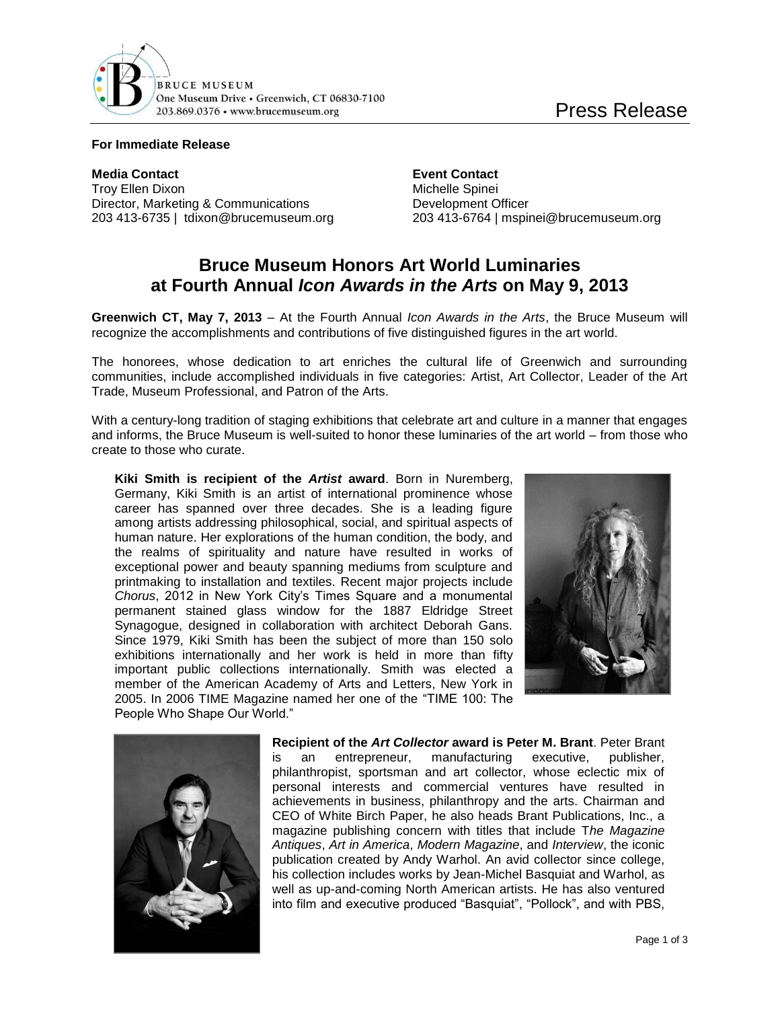

## **For Immediate Release**

**Media Contact Event Contact** Troy Ellen Dixon **Michelle** Spinei Director, Marketing & Communications Development Officer

203 413-6735 | tdixon@brucemuseum.org 203 413-6764 | mspinei@brucemuseum.org

## **Bruce Museum Honors Art World Luminaries at Fourth Annual** *Icon Awards in the Arts* **on May 9, 2013**

**Greenwich CT, May 7, 2013** – At the Fourth Annual *Icon Awards in the Arts*, the Bruce Museum will recognize the accomplishments and contributions of five distinguished figures in the art world.

The honorees, whose dedication to art enriches the cultural life of Greenwich and surrounding communities, include accomplished individuals in five categories: Artist, Art Collector, Leader of the Art Trade, Museum Professional, and Patron of the Arts.

With a century-long tradition of staging exhibitions that celebrate art and culture in a manner that engages and informs, the Bruce Museum is well-suited to honor these luminaries of the art world – from those who create to those who curate.

**Kiki Smith is recipient of the** *Artist* **award**. Born in Nuremberg, Germany, Kiki Smith is an artist of international prominence whose career has spanned over three decades. She is a leading figure among artists addressing philosophical, social, and spiritual aspects of human nature. Her explorations of the human condition, the body, and the realms of spirituality and nature have resulted in works of exceptional power and beauty spanning mediums from sculpture and printmaking to installation and textiles. Recent major projects include *Chorus*, 2012 in New York City's Times Square and a monumental permanent stained glass window for the 1887 Eldridge Street Synagogue, designed in collaboration with architect Deborah Gans. Since 1979, Kiki Smith has been the subject of more than 150 solo exhibitions internationally and her work is held in more than fifty important public collections internationally. Smith was elected a member of the American Academy of Arts and Letters, New York in 2005. In 2006 TIME Magazine named her one of the "TIME 100: The People Who Shape Our World."





**Recipient of the** *Art Collector* **award is Peter M. Brant**. Peter Brant is an entrepreneur, manufacturing executive, publisher, philanthropist, sportsman and art collector, whose eclectic mix of personal interests and commercial ventures have resulted in achievements in business, philanthropy and the arts. Chairman and CEO of White Birch Paper, he also heads Brant Publications, Inc., a magazine publishing concern with titles that include T*he Magazine Antiques*, *Art in America*, *Modern Magazine*, and *Interview*, the iconic publication created by Andy Warhol. An avid collector since college, his collection includes works by Jean-Michel Basquiat and Warhol, as well as up-and-coming North American artists. He has also ventured into film and executive produced "Basquiat", "Pollock", and with PBS,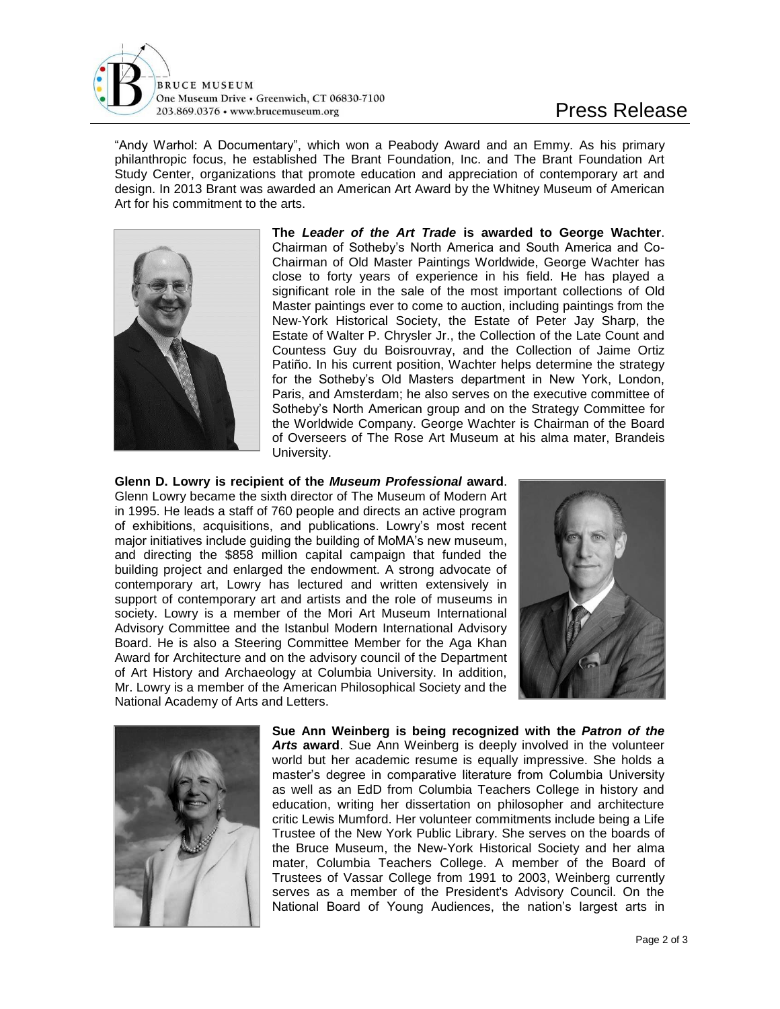

"Andy Warhol: A Documentary", which won a Peabody Award and an Emmy. As his primary philanthropic focus, he established The Brant Foundation, Inc. and The Brant Foundation Art Study Center, organizations that promote education and appreciation of contemporary art and design. In 2013 Brant was awarded an American Art Award by the Whitney Museum of American Art for his commitment to the arts.



**The** *Leader of the Art Trade* **is awarded to George Wachter**. Chairman of Sotheby's North America and South America and Co-Chairman of Old Master Paintings Worldwide, George Wachter has close to forty years of experience in his field. He has played a significant role in the sale of the most important collections of Old Master paintings ever to come to auction, including paintings from the New-York Historical Society, the Estate of Peter Jay Sharp, the Estate of Walter P. Chrysler Jr., the Collection of the Late Count and Countess Guy du Boisrouvray, and the Collection of Jaime Ortiz Patiño. In his current position, Wachter helps determine the strategy for the Sotheby's Old Masters department in New York, London, Paris, and Amsterdam; he also serves on the executive committee of Sotheby's North American group and on the Strategy Committee for the Worldwide Company. George Wachter is Chairman of the Board of Overseers of The Rose Art Museum at his alma mater, Brandeis University.

**Glenn D. Lowry is recipient of the** *Museum Professional* **award**. Glenn Lowry became the sixth director of The Museum of Modern Art in 1995. He leads a staff of 760 people and directs an active program of exhibitions, acquisitions, and publications. Lowry's most recent major initiatives include guiding the building of MoMA's new museum, and directing the \$858 million capital campaign that funded the building project and enlarged the endowment. A strong advocate of contemporary art, Lowry has lectured and written extensively in support of contemporary art and artists and the role of museums in society. Lowry is a member of the Mori Art Museum International Advisory Committee and the Istanbul Modern International Advisory Board. He is also a Steering Committee Member for the Aga Khan Award for Architecture and on the advisory council of the Department of Art History and Archaeology at Columbia University. In addition, Mr. Lowry is a member of the American Philosophical Society and the National Academy of Arts and Letters.





**Sue Ann Weinberg is being recognized with the** *Patron of the Arts* **award**. Sue Ann Weinberg is deeply involved in the volunteer world but her academic resume is equally impressive. She holds a master's degree in comparative literature from Columbia University as well as an EdD from Columbia Teachers College in history and education, writing her dissertation on philosopher and architecture critic Lewis Mumford. Her volunteer commitments include being a Life Trustee of the New York Public Library. She serves on the boards of the Bruce Museum, the New-York Historical Society and her alma mater, Columbia Teachers College. A member of the Board of Trustees of Vassar College from 1991 to 2003, Weinberg currently serves as a member of the President's Advisory Council. On the National Board of Young Audiences, the nation's largest arts in